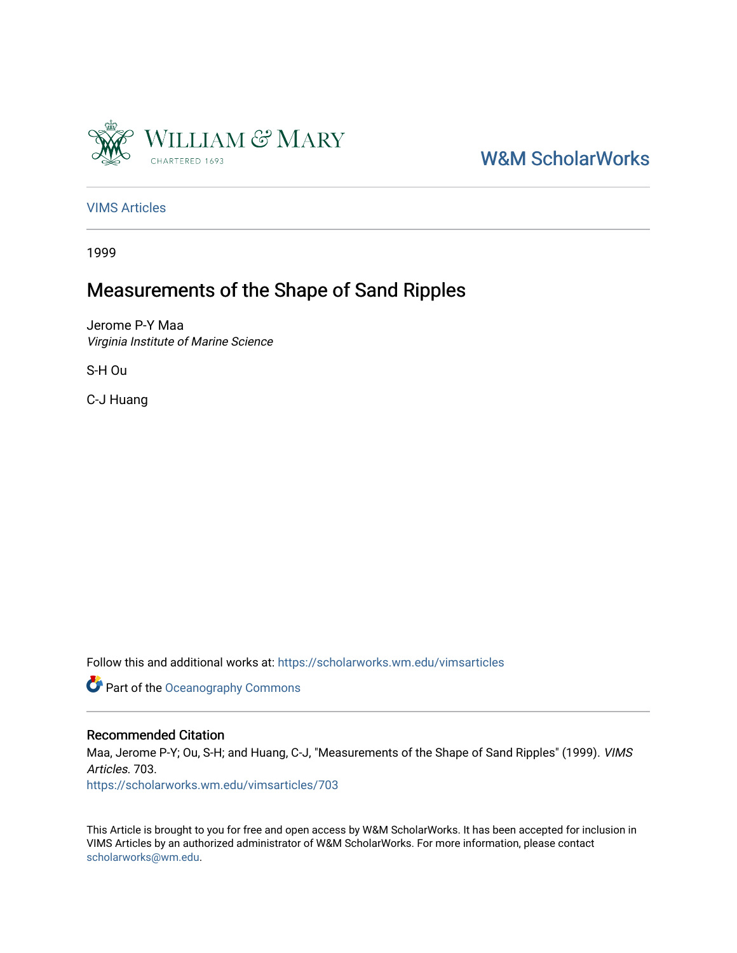

# [W&M ScholarWorks](https://scholarworks.wm.edu/)

[VIMS Articles](https://scholarworks.wm.edu/vimsarticles)

1999

# Measurements of the Shape of Sand Ripples

Jerome P-Y Maa Virginia Institute of Marine Science

S-H Ou

C-J Huang

Follow this and additional works at: [https://scholarworks.wm.edu/vimsarticles](https://scholarworks.wm.edu/vimsarticles?utm_source=scholarworks.wm.edu%2Fvimsarticles%2F703&utm_medium=PDF&utm_campaign=PDFCoverPages)

Part of the [Oceanography Commons](http://network.bepress.com/hgg/discipline/191?utm_source=scholarworks.wm.edu%2Fvimsarticles%2F703&utm_medium=PDF&utm_campaign=PDFCoverPages) 

#### Recommended Citation

Maa, Jerome P-Y; Ou, S-H; and Huang, C-J, "Measurements of the Shape of Sand Ripples" (1999). VIMS Articles. 703.

[https://scholarworks.wm.edu/vimsarticles/703](https://scholarworks.wm.edu/vimsarticles/703?utm_source=scholarworks.wm.edu%2Fvimsarticles%2F703&utm_medium=PDF&utm_campaign=PDFCoverPages)

This Article is brought to you for free and open access by W&M ScholarWorks. It has been accepted for inclusion in VIMS Articles by an authorized administrator of W&M ScholarWorks. For more information, please contact [scholarworks@wm.edu.](mailto:scholarworks@wm.edu)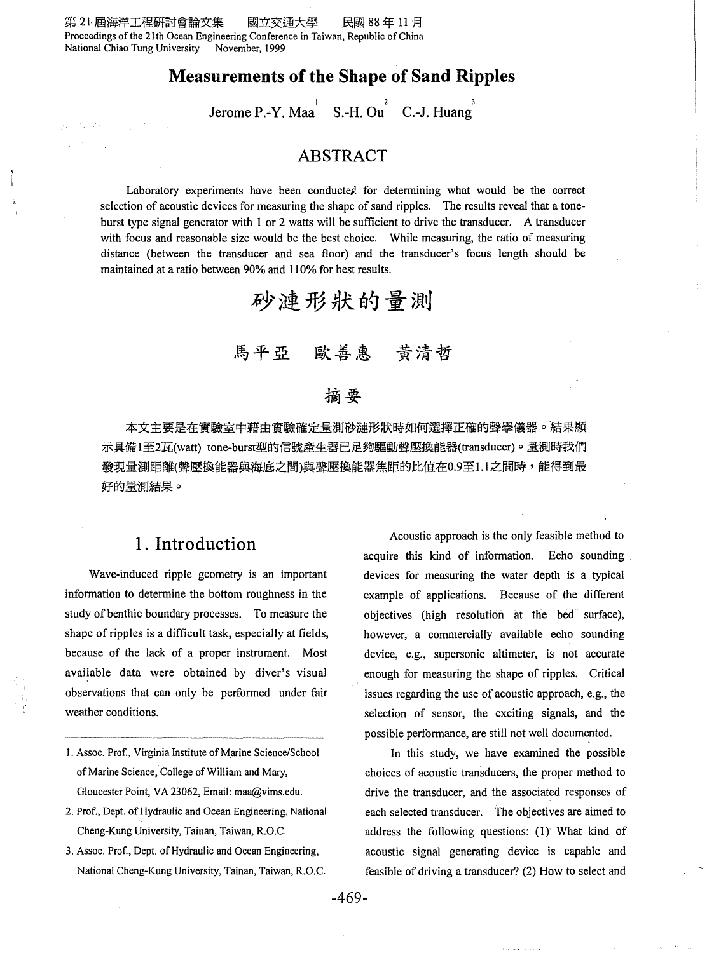ਪੰਦਰ ਦਾ ਸਾ

### **Measurements of the Shape of Sand Ripples**

 $\text{Jerome P.-Y. Maa}^{\text{}}\quad \text{S.-H. Ou}^{\text{}}\quad \text{C.-J. Huang}^{\text{}}$ 

#### **ABSTRACT**

Laboratory experiments have been conducted for determining what would be the correct selection of acoustic devices for measuring the shape of sand ripples. The results reveal that a toneburst type signal generator with 1 or 2 watts will be sufficient to drive the transducer. A transducer with focus and reasonable size would be the best choice. While measuring, the ratio of measuring distance (between the transducer and sea floor) and the transducer's focus length should be maintained at a ratio between 90% and II 0% for best results.



## 馬平亞 歐善惠 黃清哲

## 摘要

本文主要是在實驗室中藉由實驗確定量測砂漣形狀時如何選擇正確的聲學儀器。結果顯 示具備1至2瓦(watt) tone-burst型的信號產生器已足夠驅動聲壓換能器(transducer)。量測時我們 發現量測距離(聲壓換能器與海底之間)與聲壓換能器焦距的比值在0.9至1.1之間時,能得到最 好的量測結果。

## **1. Introduction**

Wave-induced ripple geometry is an important information to determine the bottom roughness in the study of benthic boundary processes. To measure the shape of ripples is a difficult task, especially at fields, because of the lack of a proper instrument. Most available data were obtained by diver's visual observations that can only be performed under fair weather conditions.

- I. Assoc. Prof., Virginia Institute of Marine Science/School of Marine Science, College of William and Mary, Gloucester Point, VA 23062, Email: maa@vims.edu.
- 2. Prof., Dept. of Hydraulic and Ocean Engineering, National Cheng-Kung University, Tainan, Taiwan, R.O.C.
- 3. Assoc. Prof., Dept. of Hydraulic and Ocean Engineering, National Cheng-Kung University, Tainan, Taiwan, R.O.C.

Acoustic approach is the only feasible method to acquire this kind of information. Echo sounding devices for measuring the water depth is a typical example of applications. Because of the different objectives (high resolution at the bed surface), however, a commercially available echo sounding device, e.g., supersonic altimeter, is not accurate enough for measuring the shape of ripples. Critical issues regarding the use of acoustic approach, e.g., the selection of sensor, the exciting signals, and the possible performance, are still not well documented.

In this study, we have examined the possible choices of acoustic transducers, the proper method to drive the transducer, and the associated responses of each selected transducer. The objectives are aimed to address the following questions: (I) What kind of acoustic signal generating device is capable and feasible of driving a transducer? (2) How to select and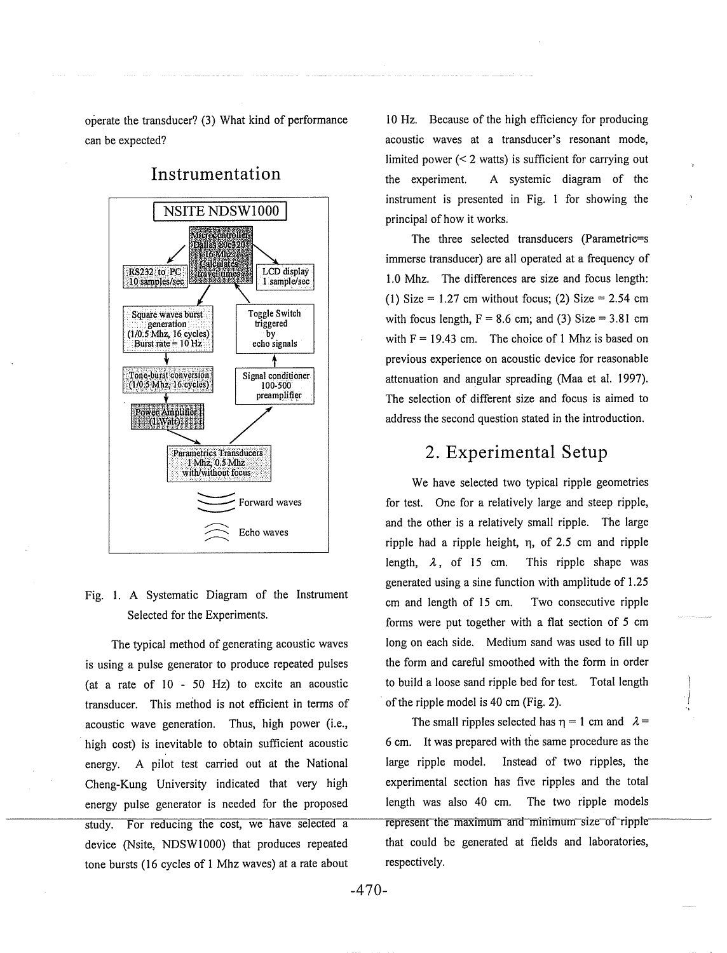operate the transducer? (3) What kind of performance can be expected?



**Instrumentation** 

#### Fig. l. A Systematic Diagram of the Instrument Selected for the Experiments.

The typical method of generating acoustic waves is using a pulse generator to produce repeated pulses (at a rate of  $10 - 50$  Hz) to excite an acoustic transducer. This method is not efficient in terms of acoustic wave generation. Thus, high power (i.e., high cost) is inevitable to obtain sufficient acoustic energy. A pilot test carried out at the National Cheng-Kung University indicated that very high energy pulse generator is needed for the proposed study. For reducing the cost, we have selected a device (Nsite, NDSW1000) that produces repeated tone bursts (16 cycles of 1 Mhz waves) at a rate about 10 Hz. Because of the high efficiency for producing acoustic waves at a transducer's resonant mode, limited power  $(< 2$  watts) is sufficient for carrying out the experiment. A systemic diagram of the instrument is presented in Fig. I for showing the principal of how it works.

The three selected transducers (Parametric=s immerse transducer) are all operated at a frequency of 1.0 Mhz. The differences are size and focus length: (1) Size =  $1.27$  cm without focus; (2) Size =  $2.54$  cm with focus length,  $F = 8.6$  cm; and (3) Size = 3.81 cm with  $F = 19.43$  cm. The choice of 1 Mhz is based on previous experience on acoustic device for reasonable attenuation and angular spreading (Maa et al. 1997). The selection of different size and focus is aimed to address the second question stated in the introduction.

### **2. Experimental Setup**

We have selected two typical ripple geometries for test. One for a relatively large and steep ripple, and the other is a relatively small ripple. The large ripple had a ripple height,  $\eta$ , of 2.5 cm and ripple length,  $\lambda$ , of 15 cm. This ripple shape was generated using a sine function with amplitude of I .25 em and length of 15 cm. Two consecutive ripple forms were put together with a flat section of 5 em long on each side. Medium sand was used to fill up the form and careful smoothed with the form in order to build a loose sand ripple bed for test. Total length of the ripple model is 40 em (Fig. 2).

The small ripples selected has  $\eta = 1$  cm and  $\lambda =$ 6 em. It was prepared with the same procedure as the large ripple model. Instead of two ripples, the experimental section has five ripples and the total length was also 40 em. The two ripple models represent the maximum and minimum-size of ripplethat could be generated at fields and laboratories, respectively.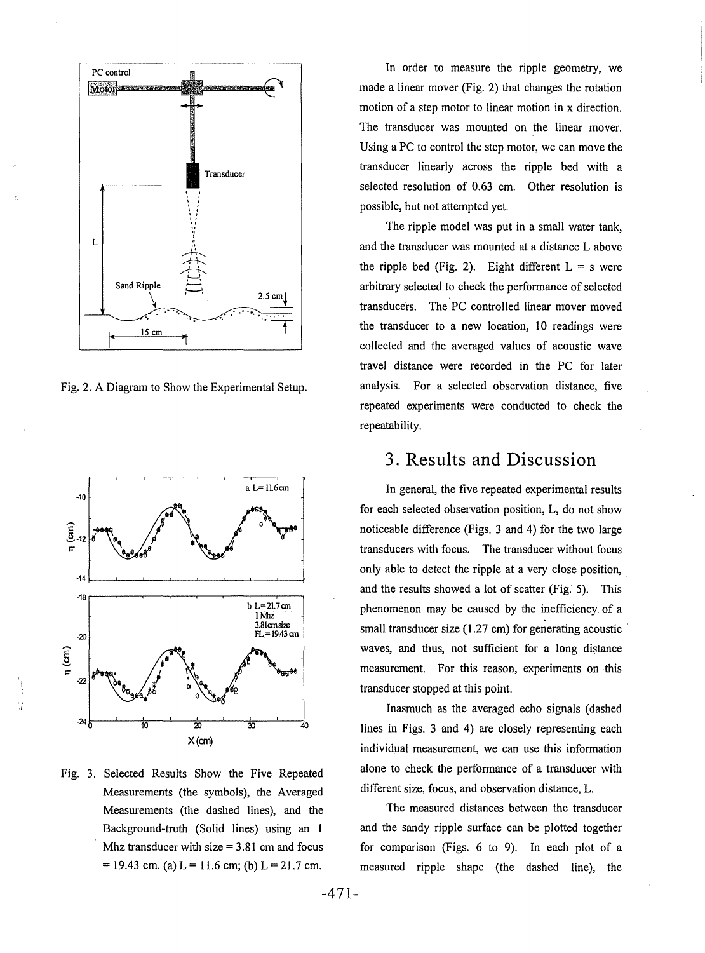

Fig. 2. A Diagram to Show the Experimental Setup.



Fig. 3. Selected Results Show the Five Repeated Measurements (the symbols), the Averaged Measurements (the dashed lines), and the Background-truth (Solid lines) using an **1**  Mhz transducer with size  $= 3.81$  cm and focus  $= 19.43$  cm. (a)  $L = 11.6$  cm; (b)  $L = 21.7$  cm.

In order to measure the ripple geometry, we made a linear mover (Fig. 2) that changes the rotation motion of a step motor to linear motion in x direction. The transducer was mounted on the linear mover. Using a PC to control the step motor, we can move the transducer linearly across the ripple bed with a selected resolution of 0.63 em. Other resolution is possible, but not attempted yet.

The ripple model was put in a small water tank, and the transducer was mounted at a distance L above the ripple bed (Fig. 2). Eight different  $L = s$  were arbitrary selected to check the performance of selected transducers. The PC controlled linear mover moved the transducer to a new location, 10 readings were collected and the averaged values of acoustic wave travel distance were recorded in the PC for later analysis. For a selected observation distance, five repeated experiments were conducted to check the repeatability.

### **3. Results and Discussion**

In general, the five repeated experimental results for each selected observation position, L, do not show noticeable difference (Figs. 3 and 4) for the two large transducers with focus. The transducer without focus only able to detect the ripple at a very close position, and the results showed a lot of scatter (Fig. 5). This phenomenon may be caused by the inefficiency of a small transducer size (1.27 em) for generating acoustic waves, and thus, not sufficient for a long distance measurement. For this reason, experiments on this transducer stopped at this point.

Inasmuch as the averaged echo signals (dashed lines in Figs. 3 and 4) are closely representing each individual measurement, we can use this information alone to check the performance of a transducer with different size, focus, and observation distance, L.

The measured distances between the transducer and the sandy ripple surface can be plotted together for comparison (Figs. 6 to 9). In each plot of a measured ripple shape (the dashed line), the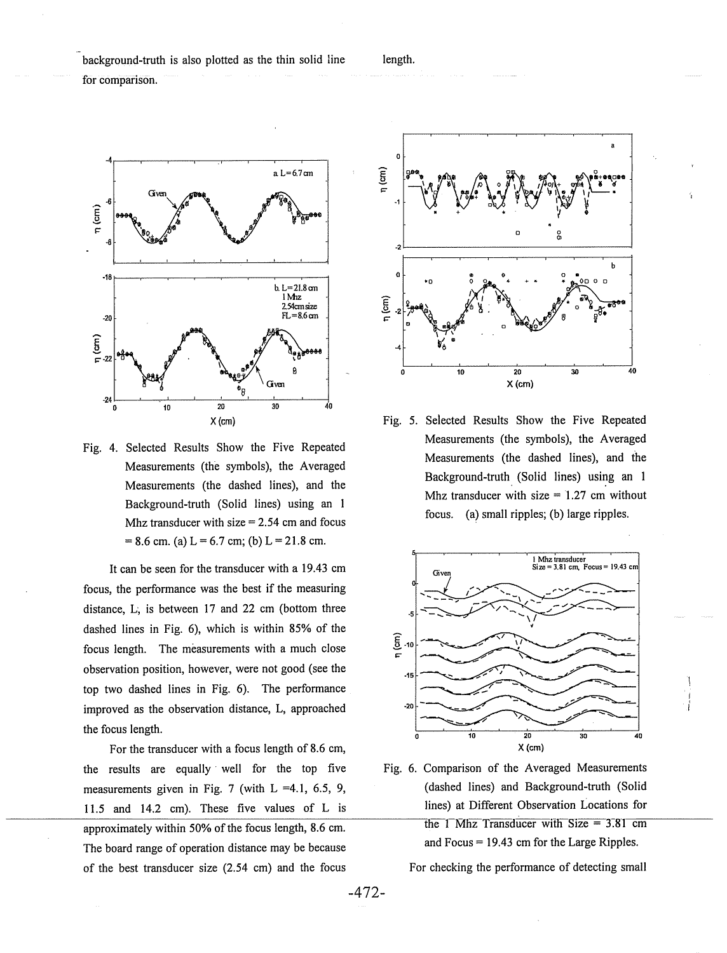background-truth is also plotted as the thin solid line

for comparison.



Fig. 4. Selected Results Show the Five Repeated Measurements (the symbols), the Averaged Measurements (the dashed lines), and the Background-truth (Solid lines) using an I Mhz transducer with size  $= 2.54$  cm and focus  $= 8.6$  cm. (a) L = 6.7 cm; (b) L = 21.8 cm.

It can be seen for the transducer with a 19.43 em focus, the performance was the best if the measuring distance, L; is between 17 and 22 em (bottom three dashed lines in Fig. 6), which is within 85% of the focus length. The measurements with a much close observation position, however, were not good (see the top two dashed lines in Fig. 6). The performance improved as the observation distance, L, approached the focus length.

For the transducer with a focus length of 8.6 em, the results are equally well for the top five Fig. 6. Comparison of the Averaged Measurements 11.5 and 14.2 em). These five values of L is lines) at Different Observation Locations for approximately within 50% of the focus length, 8.6 cm.  $\frac{1}{1}$  Mhz Transducer with Size = 3.81 cm The board range of operation distance may be because and Focus = 19.43 cm for the Large Ripples. of the best transducer size (2.54 cm) and the focus For checking the performance of detecting small



length.

Fig. 5. Selected Results Show the Five Repeated Measurements (the symbols), the Averaged Measurements (the dashed lines), and the Background-truth (Solid lines) using an 1 Mhz transducer with size  $= 1.27$  cm without focus. (a) small ripples; (b) large ripples.



measurements given in Fig. 7 (with L =4.1, 6.5, 9, (dashed lines) and Background-truth (Solid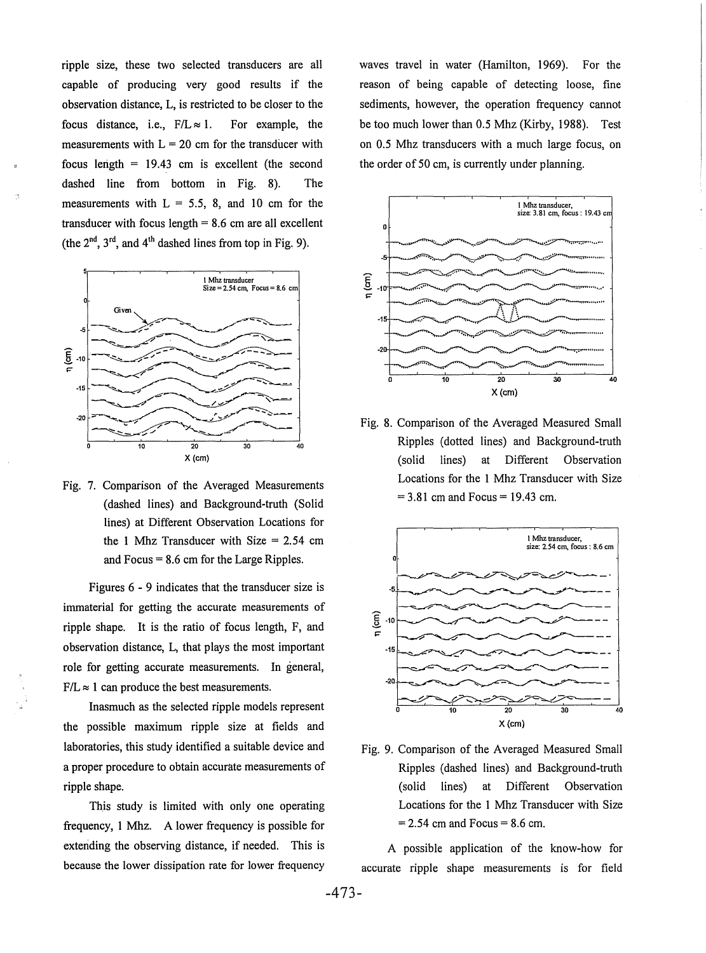ripple size, these two selected transducers are all capable of producing very good results if the observation distance, L, is restricted to be closer to the focus distance, i.e.,  $F/L \approx 1$ . For example, the measurements with  $L = 20$  cm for the transducer with focus length  $= 19.43$  cm is excellent (the second dashed line from bottom in Fig. 8). The measurements with  $L = 5.5$ , 8, and 10 cm for the transducer with focus length  $= 8.6$  cm are all excellent (the  $2<sup>nd</sup>$ ,  $3<sup>rd</sup>$ , and  $4<sup>th</sup>$  dashed lines from top in Fig. 9).



Fig. 7. Comparison of the Averaged Measurements (dashed lines) and Background-truth (Solid lines) at Different Observation Locations for the 1 Mhz Transducer with Size  $= 2.54$  cm and Focus= 8.6 em for the Large Ripples.

Figures 6 - 9 indicates that the transducer size is immaterial for getting the accurate measurements of ripple shape. It is the ratio of focus length, F, and observation distance, L, that plays the most important role for getting accurate measurements. In general,  $F/L \approx 1$  can produce the best measurements.

Inasmuch as the selected ripple models represent the possible maximum ripple size at fields and laboratories, this study identified a suitable device and a proper procedure to obtain accurate measurements of ripple shape.

This study is limited with only one operating frequency, 1 Mhz. A lower frequency is possible for extending the observing distance, if needed. This is because the lower dissipation rate for lower frequency

waves travel in water (Hamilton, 1969). For the reason of being capable of detecting loose, fine sediments, however, the operation frequency cannot be too much lower than 0.5 Mhz (Kirby, 1988). Test on 0.5 Mhz transducers with a much large focus, on the order of 50 em, is currently under planning.



Fig. 8. Comparison of the Averaged Measured Small Ripples (dotted lines) and Background-truth (solid lines) at Different Observation Locations for the 1 Mhz Transducer with Size  $= 3.81$  cm and Focus  $= 19.43$  cm.



Fig. 9. Comparison of the Averaged Measured Small Ripples (dashed lines) and Background-truth (solid lines) at Different Observation Locations for the 1 Mhz Transducer with Size  $= 2.54$  cm and Focus  $= 8.6$  cm.

A possible application of the know-how for accurate ripple shape measurements is for field